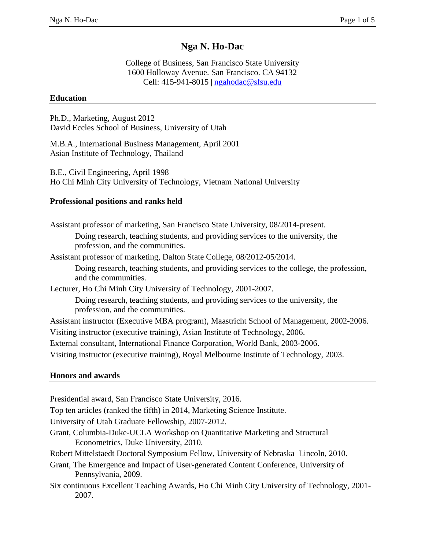# **Nga N. Ho-Dac**

College of Business, San Francisco State University 1600 Holloway Avenue. San Francisco. CA 94132 Cell: 415-941-8015 | [ngahodac@s](mailto:ngahodac@)fsu.edu

### **Education**

Ph.D., Marketing, August 2012 David Eccles School of Business, University of Utah

M.B.A., International Business Management, April 2001 Asian Institute of Technology, Thailand

B.E., Civil Engineering, April 1998 Ho Chi Minh City University of Technology, Vietnam National University

## **Professional positions and ranks held**

Assistant professor of marketing, San Francisco State University, 08/2014-present. Doing research, teaching students, and providing services to the university, the profession, and the communities.

Assistant professor of marketing, Dalton State College, 08/2012-05/2014.

Doing research, teaching students, and providing services to the college, the profession, and the communities.

Lecturer, Ho Chi Minh City University of Technology, 2001-2007.

Doing research, teaching students, and providing services to the university, the profession, and the communities.

Assistant instructor (Executive MBA program), Maastricht School of Management, 2002-2006.

Visiting instructor (executive training), Asian Institute of Technology, 2006.

External consultant, International Finance Corporation, World Bank, 2003-2006.

Visiting instructor (executive training), Royal Melbourne Institute of Technology, 2003.

### **Honors and awards**

Presidential award, San Francisco State University, 2016.

Top ten articles (ranked the fifth) in 2014, Marketing Science Institute.

University of Utah Graduate Fellowship, 2007-2012.

Grant, Columbia-Duke-UCLA Workshop on Quantitative Marketing and Structural Econometrics, Duke University, 2010.

Robert Mittelstaedt Doctoral Symposium Fellow, University of Nebraska–Lincoln, 2010.

Grant, The Emergence and Impact of User-generated Content Conference, University of Pennsylvania, 2009.

Six continuous Excellent Teaching Awards, Ho Chi Minh City University of Technology, 2001- 2007.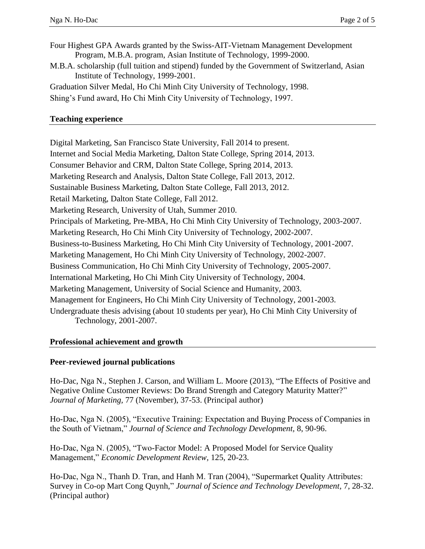- Four Highest GPA Awards granted by the Swiss-AIT-Vietnam Management Development Program, M.B.A. program, Asian Institute of Technology, 1999-2000.
- M.B.A. scholarship (full tuition and stipend) funded by the Government of Switzerland, Asian Institute of Technology, 1999-2001.

Graduation Silver Medal, Ho Chi Minh City University of Technology, 1998.

Shing's Fund award, Ho Chi Minh City University of Technology, 1997.

#### **Teaching experience**

Digital Marketing, San Francisco State University, Fall 2014 to present. Internet and Social Media Marketing, Dalton State College, Spring 2014, 2013. Consumer Behavior and CRM, Dalton State College, Spring 2014, 2013. Marketing Research and Analysis, Dalton State College, Fall 2013, 2012. Sustainable Business Marketing, Dalton State College, Fall 2013, 2012. Retail Marketing, Dalton State College, Fall 2012. Marketing Research, University of Utah, Summer 2010. Principals of Marketing, Pre-MBA, Ho Chi Minh City University of Technology, 2003-2007. Marketing Research, Ho Chi Minh City University of Technology, 2002-2007. Business-to-Business Marketing, Ho Chi Minh City University of Technology, 2001-2007. Marketing Management, Ho Chi Minh City University of Technology, 2002-2007. Business Communication, Ho Chi Minh City University of Technology, 2005-2007. International Marketing, Ho Chi Minh City University of Technology, 2004. Marketing Management, University of Social Science and Humanity, 2003. Management for Engineers, Ho Chi Minh City University of Technology, 2001-2003. Undergraduate thesis advising (about 10 students per year), Ho Chi Minh City University of Technology, 2001-2007.

### **Professional achievement and growth**

#### **Peer-reviewed journal publications**

Ho-Dac, Nga N., Stephen J. Carson, and William L. Moore (2013), "The Effects of Positive and Negative Online Customer Reviews: Do Brand Strength and Category Maturity Matter?" *Journal of Marketing,* 77 (November), 37-53. (Principal author)

Ho-Dac, Nga N. (2005), "Executive Training: Expectation and Buying Process of Companies in the South of Vietnam," *Journal of Science and Technology Development,* 8, 90-96.

Ho-Dac, Nga N. (2005), "Two-Factor Model: A Proposed Model for Service Quality Management," *Economic Development Review,* 125, 20-23.

Ho-Dac, Nga N., Thanh D. Tran, and Hanh M. Tran (2004), "Supermarket Quality Attributes: Survey in Co-op Mart Cong Quynh," *Journal of Science and Technology Development,* 7, 28-32. (Principal author)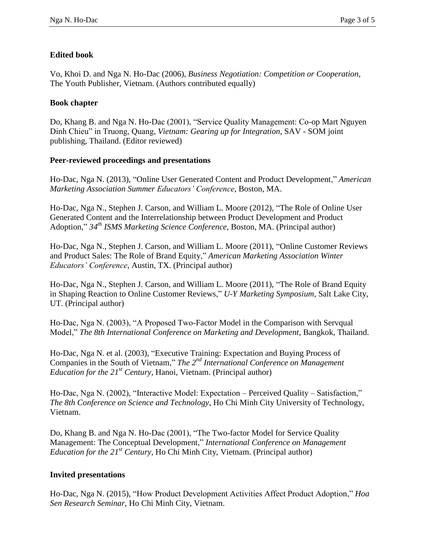## **Edited book**

Vo, Khoi D. and Nga N. Ho-Dac (2006), *Business Negotiation: Competition or Cooperation*, The Youth Publisher, Vietnam. (Authors contributed equally)

## **Book chapter**

Do, Khang B. and Nga N. Ho-Dac (2001), "Service Quality Management: Co-op Mart Nguyen Dinh Chieu" in Truong, Quang, *Vietnam: Gearing up for Integration*, SAV - SOM joint publishing, Thailand. (Editor reviewed)

## **Peer-reviewed proceedings and presentations**

Ho-Dac, Nga N. (2013), "Online User Generated Content and Product Development," *American Marketing Association Summer Educators' Conference*, Boston, MA.

Ho-Dac, Nga N., Stephen J. Carson, and William L. Moore (2012), "The Role of Online User Generated Content and the Interrelationship between Product Development and Product Adoption," *34th ISMS Marketing Science Conference*, Boston, MA. (Principal author)

Ho-Dac, Nga N., Stephen J. Carson, and William L. Moore (2011), "Online Customer Reviews and Product Sales: The Role of Brand Equity," *American Marketing Association Winter Educators' Conference*, Austin, TX. (Principal author)

Ho-Dac, Nga N., Stephen J. Carson, and William L. Moore (2011), "The Role of Brand Equity in Shaping Reaction to Online Customer Reviews," *U-Y Marketing Symposium*, Salt Lake City, UT. (Principal author)

Ho-Dac, Nga N. (2003), "A Proposed Two-Factor Model in the Comparison with Servqual Model," *The 8th International Conference on Marketing and Development*, Bangkok, Thailand.

Ho-Dac, Nga N. et al. (2003), "Executive Training: Expectation and Buying Process of Companies in the South of Vietnam," *The 2nd International Conference on Management Education for the 21st Century*, Hanoi, Vietnam. (Principal author)

Ho-Dac, Nga N. (2002), "Interactive Model: Expectation – Perceived Quality – Satisfaction," *The 8th Conference on Science and Technology*, Ho Chi Minh City University of Technology, Vietnam.

Do, Khang B. and Nga N. Ho-Dac (2001), "The Two-factor Model for Service Quality Management: The Conceptual Development," *International Conference on Management Education for the 21st Century*, Ho Chi Minh City, Vietnam. (Principal author)

## **Invited presentations**

Ho-Dac, Nga N. (2015), "How Product Development Activities Affect Product Adoption," *Hoa Sen Research Seminar*, Ho Chi Minh City, Vietnam.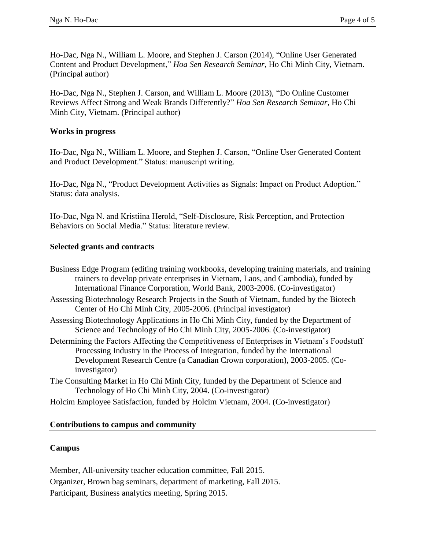Ho-Dac, Nga N., William L. Moore, and Stephen J. Carson (2014), ["Online User Generated](http://kttm.hoasen.edu.vn/sites/default/files/2011/12/22/ugc_ama_extended_abstract.pdf)  [Content and Product Development,](http://kttm.hoasen.edu.vn/sites/default/files/2011/12/22/ugc_ama_extended_abstract.pdf)" *Hoa Sen Research Seminar*, Ho Chi Minh City, Vietnam. (Principal author)

Ho-Dac, Nga N., Stephen J. Carson, and William L. Moore (2013), ["Do Online Customer](http://kttm.hoasen.edu.vn/sites/default/files/2013/08/1094/nga_hdn_et_al_the_effects_of_positive_and_negative_online_customer_reviews_do_brand_strength_and_category_maturity_matter.pdf)  [Reviews Affect Strong and Weak Brands Differently?"](http://kttm.hoasen.edu.vn/sites/default/files/2013/08/1094/nga_hdn_et_al_the_effects_of_positive_and_negative_online_customer_reviews_do_brand_strength_and_category_maturity_matter.pdf) *Hoa Sen Research Seminar*, Ho Chi Minh City, Vietnam. (Principal author)

## **Works in progress**

Ho-Dac, Nga N., William L. Moore, and Stephen J. Carson, "Online User Generated Content and Product Development." Status: manuscript writing.

Ho-Dac, Nga N., "Product Development Activities as Signals: Impact on Product Adoption." Status: data analysis.

Ho-Dac, Nga N. and Kristiina Herold, "Self-Disclosure, Risk Perception, and Protection Behaviors on Social Media." Status: literature review.

### **Selected grants and contracts**

| Business Edge Program (editing training workbooks, developing training materials, and training<br>trainers to develop private enterprises in Vietnam, Laos, and Cambodia), funded by<br>International Finance Corporation, World Bank, 2003-2006. (Co-investigator)           |
|-------------------------------------------------------------------------------------------------------------------------------------------------------------------------------------------------------------------------------------------------------------------------------|
| Assessing Biotechnology Research Projects in the South of Vietnam, funded by the Biotech<br>Center of Ho Chi Minh City, 2005-2006. (Principal investigator)                                                                                                                   |
| Assessing Biotechnology Applications in Ho Chi Minh City, funded by the Department of<br>Science and Technology of Ho Chi Minh City, 2005-2006. (Co-investigator)                                                                                                             |
| Determining the Factors Affecting the Competitiveness of Enterprises in Vietnam's Foodstuff<br>Processing Industry in the Process of Integration, funded by the International<br>Development Research Centre (a Canadian Crown corporation), 2003-2005. (Co-<br>investigator) |
| The Consulting Market in Ho Chi Minh City, funded by the Department of Science and<br>Technology of Ho Chi Minh City, 2004. (Co-investigator)                                                                                                                                 |

Holcim Employee Satisfaction, funded by Holcim Vietnam, 2004. (Co-investigator)

### **Contributions to campus and community**

### **Campus**

Member, All-university teacher education committee, Fall 2015. Organizer, Brown bag seminars, department of marketing, Fall 2015. Participant, Business analytics meeting, Spring 2015.